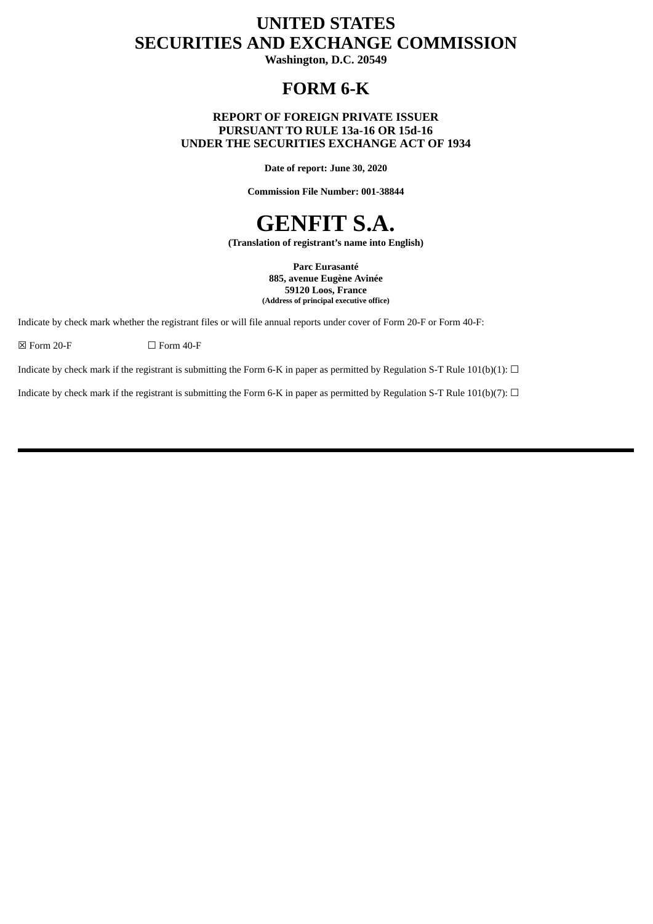## **UNITED STATES SECURITIES AND EXCHANGE COMMISSION**

**Washington, D.C. 20549**

## **FORM 6-K**

### **REPORT OF FOREIGN PRIVATE ISSUER PURSUANT TO RULE 13a-16 OR 15d-16 UNDER THE SECURITIES EXCHANGE ACT OF 1934**

**Date of report: June 30, 2020**

**Commission File Number: 001-38844**

# **GENFIT S.A.**

**(Translation of registrant's name into English)**

**Parc Eurasanté 885, avenue Eugène Avinée 59120 Loos, France (Address of principal executive office)**

Indicate by check mark whether the registrant files or will file annual reports under cover of Form 20-F or Form 40-F:

 $\boxtimes$  Form 20-F  $\Box$  Form 40-F

Indicate by check mark if the registrant is submitting the Form 6-K in paper as permitted by Regulation S-T Rule 101(b)(1):  $\Box$ 

Indicate by check mark if the registrant is submitting the Form 6-K in paper as permitted by Regulation S-T Rule 101(b)(7):  $\Box$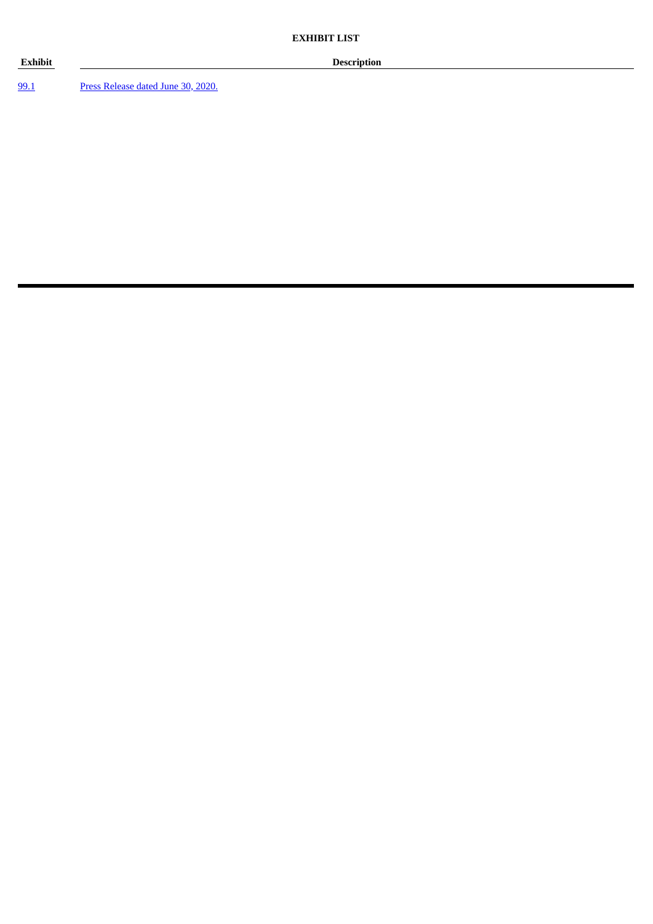### **Exhibit Description**

[99.1](#page-3-0) Press [Release](#page-3-0) dated June 30, 2020.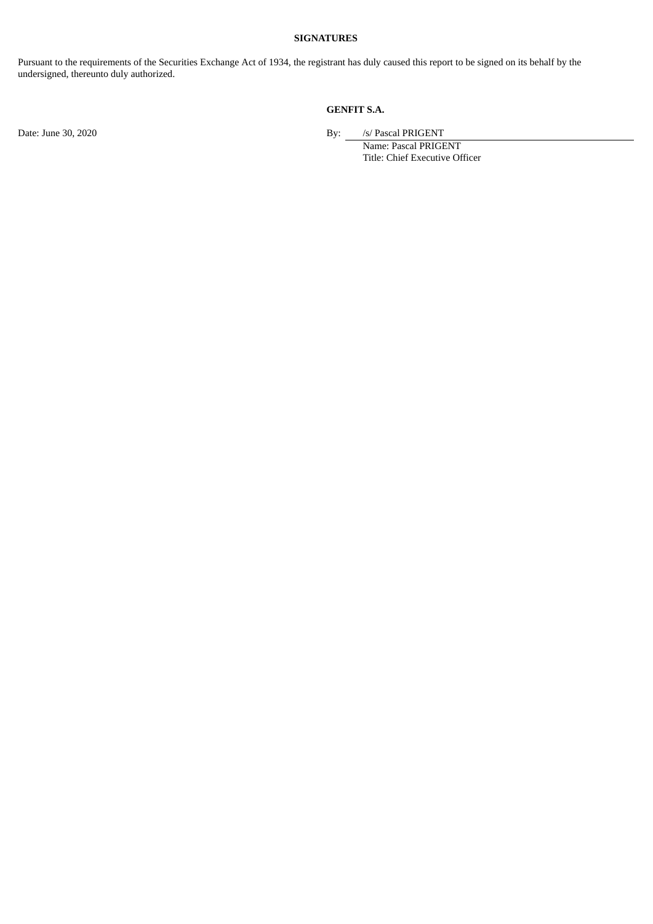#### **SIGNATURES**

Pursuant to the requirements of the Securities Exchange Act of 1934, the registrant has duly caused this report to be signed on its behalf by the undersigned, thereunto duly authorized.

## **GENFIT S.A.**

Date: June 30, 2020 **By:** *S/* Pascal PRIGENT

Name: Pascal PRIGENT Title: Chief Executive Officer